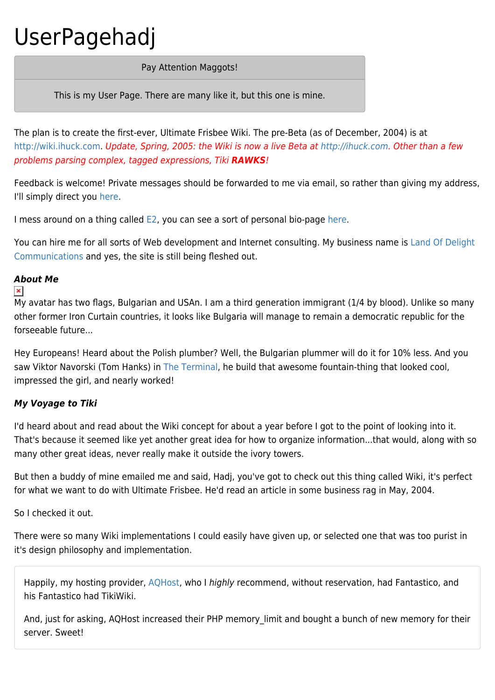# UserPagehadj

### Pay Attention Maggots!

This is my User Page. There are many like it, but this one is mine.

The plan is to create the first-ever, Ultimate Frisbee Wiki. The pre-Beta (as of December, 2004) is at [http://wiki.ihuck.com.](http://wiki.ihuck.com) Update, Spring, 2005: the Wiki is now a live Beta at <http://ihuck.com>. Other than a few problems parsing complex, tagged expressions, Tiki *RAWKS*!

Feedback is welcome! Private messages should be forwarded to me via email, so rather than giving my address, I'll simply direct you [here](http://tikiwiki.org/messu-mailbox.php).

I mess around on a thing called [E2,](http://everything2.com) you can see a sort of personal bio-page [here.](http://everything2.com/index.pl?node_id=1253586)

You can hire me for all sorts of Web development and Internet consulting. My business name is [Land Of Delight](http://landofdelight.com) [Communications](http://landofdelight.com) and yes, the site is still being fleshed out.

# *About Me*

#### $\pmb{\times}$

My avatar has two flags, Bulgarian and USAn. I am a third generation immigrant (1/4 by blood). Unlike so many other former Iron Curtain countries, it looks like Bulgaria will manage to remain a democratic republic for the forseeable future...

Hey Europeans! Heard about the Polish plumber? Well, the Bulgarian plummer will do it for 10% less. And you saw Viktor Navorski (Tom Hanks) in [The Terminal,](http://imdb.com/title/tt0362227/) he build that awesome fountain-thing that looked cool, impressed the girl, and nearly worked!

## *My Voyage to Tiki*

I'd heard about and read about the Wiki concept for about a year before I got to the point of looking into it. That's because it seemed like yet another great idea for how to organize information...that would, along with so many other great ideas, never really make it outside the ivory towers.

But then a buddy of mine emailed me and said, Hadj, you've got to check out this thing called Wiki, it's perfect for what we want to do with Ultimate Frisbee. He'd read an article in some business rag in May, 2004.

So I checked it out.

There were so many Wiki implementations I could easily have given up, or selected one that was too purist in it's design philosophy and implementation.

Happily, my hosting provider, [AQHost,](http://www.aqhost.com) who I highly recommend, without reservation, had Fantastico, and his Fantastico had TikiWiki.

And, just for asking, AQHost increased their PHP memory\_limit and bought a bunch of new memory for their server. Sweet!